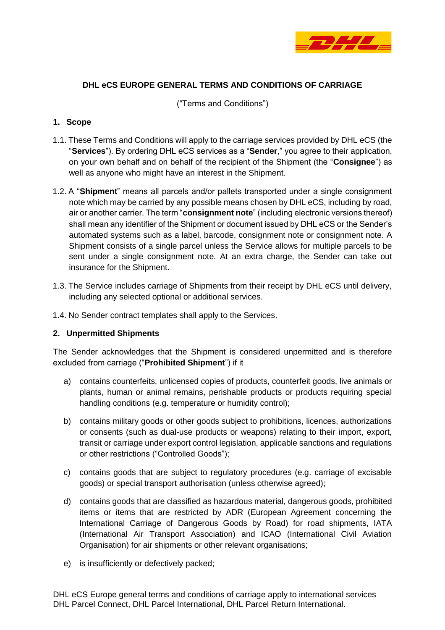

### **DHL eCS EUROPE GENERAL TERMS AND CONDITIONS OF CARRIAGE**

("Terms and Conditions")

#### **1. Scope**

- 1.1. These Terms and Conditions will apply to the carriage services provided by DHL eCS (the "**Services**"). By ordering DHL eCS services as a "**Sender**," you agree to their application, on your own behalf and on behalf of the recipient of the Shipment (the "**Consignee**") as well as anyone who might have an interest in the Shipment.
- 1.2. A "**Shipment**" means all parcels and/or pallets transported under a single consignment note which may be carried by any possible means chosen by DHL eCS, including by road, air or another carrier. The term "**consignment note**" (including electronic versions thereof) shall mean any identifier of the Shipment or document issued by DHL eCS or the Sender's automated systems such as a label, barcode, consignment note or consignment note. A Shipment consists of a single parcel unless the Service allows for multiple parcels to be sent under a single consignment note. At an extra charge, the Sender can take out insurance for the Shipment.
- 1.3. The Service includes carriage of Shipments from their receipt by DHL eCS until delivery, including any selected optional or additional services.
- 1.4. No Sender contract templates shall apply to the Services.

#### **2. Unpermitted Shipments**

The Sender acknowledges that the Shipment is considered unpermitted and is therefore excluded from carriage ("**Prohibited Shipment**") if it

- a) contains counterfeits, unlicensed copies of products, counterfeit goods, live animals or plants, human or animal remains, perishable products or products requiring special handling conditions (e.g. temperature or humidity control);
- b) contains military goods or other goods subject to prohibitions, licences, authorizations or consents (such as dual-use products or weapons) relating to their import, export, transit or carriage under export control legislation, applicable sanctions and regulations or other restrictions ("Controlled Goods");
- c) contains goods that are subject to regulatory procedures (e.g. carriage of excisable goods) or special transport authorisation (unless otherwise agreed);
- d) contains goods that are classified as hazardous material, dangerous goods, prohibited items or items that are restricted by ADR (European Agreement concerning the International Carriage of Dangerous Goods by Road) for road shipments, IATA (International Air Transport Association) and ICAO (International Civil Aviation Organisation) for air shipments or other relevant organisations;
- e) is insufficiently or defectively packed;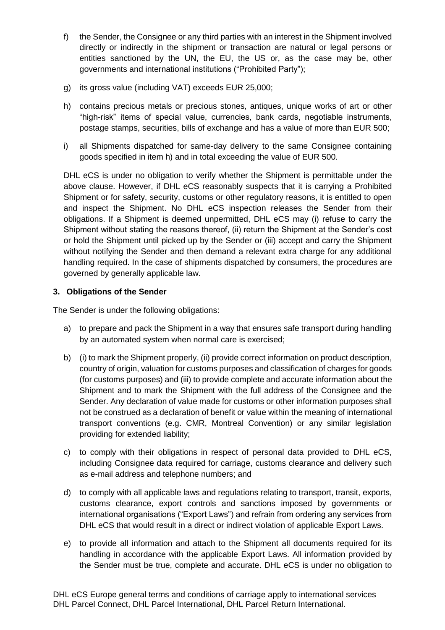- f) the Sender, the Consignee or any third parties with an interest in the Shipment involved directly or indirectly in the shipment or transaction are natural or legal persons or entities sanctioned by the UN, the EU, the US or, as the case may be, other governments and international institutions ("Prohibited Party");
- g) its gross value (including VAT) exceeds EUR 25,000;
- h) contains precious metals or precious stones, antiques, unique works of art or other "high-risk" items of special value, currencies, bank cards, negotiable instruments, postage stamps, securities, bills of exchange and has a value of more than EUR 500;
- i) all Shipments dispatched for same-day delivery to the same Consignee containing goods specified in item h) and in total exceeding the value of EUR 500.

DHL eCS is under no obligation to verify whether the Shipment is permittable under the above clause. However, if DHL eCS reasonably suspects that it is carrying a Prohibited Shipment or for safety, security, customs or other regulatory reasons, it is entitled to open and inspect the Shipment. No DHL eCS inspection releases the Sender from their obligations. If a Shipment is deemed unpermitted, DHL eCS may (i) refuse to carry the Shipment without stating the reasons thereof, (ii) return the Shipment at the Sender's cost or hold the Shipment until picked up by the Sender or (iii) accept and carry the Shipment without notifying the Sender and then demand a relevant extra charge for any additional handling required. In the case of shipments dispatched by consumers, the procedures are governed by generally applicable law.

### **3. Obligations of the Sender**

The Sender is under the following obligations:

- a) to prepare and pack the Shipment in a way that ensures safe transport during handling by an automated system when normal care is exercised;
- b) (i) to mark the Shipment properly, (ii) provide correct information on product description, country of origin, valuation for customs purposes and classification of charges for goods (for customs purposes) and (iii) to provide complete and accurate information about the Shipment and to mark the Shipment with the full address of the Consignee and the Sender. Any declaration of value made for customs or other information purposes shall not be construed as a declaration of benefit or value within the meaning of international transport conventions (e.g. CMR, Montreal Convention) or any similar legislation providing for extended liability;
- c) to comply with their obligations in respect of personal data provided to DHL eCS, including Consignee data required for carriage, customs clearance and delivery such as e-mail address and telephone numbers; and
- d) to comply with all applicable laws and regulations relating to transport, transit, exports, customs clearance, export controls and sanctions imposed by governments or international organisations ("Export Laws") and refrain from ordering any services from DHL eCS that would result in a direct or indirect violation of applicable Export Laws.
- e) to provide all information and attach to the Shipment all documents required for its handling in accordance with the applicable Export Laws. All information provided by the Sender must be true, complete and accurate. DHL eCS is under no obligation to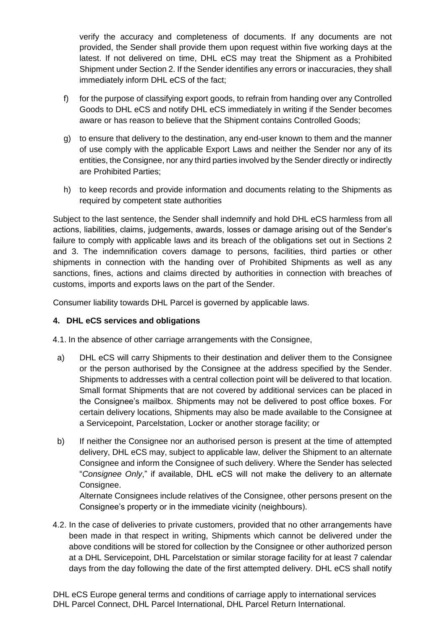verify the accuracy and completeness of documents. If any documents are not provided, the Sender shall provide them upon request within five working days at the latest. If not delivered on time, DHL eCS may treat the Shipment as a Prohibited Shipment under Section 2. If the Sender identifies any errors or inaccuracies, they shall immediately inform DHL eCS of the fact;

- f) for the purpose of classifying export goods, to refrain from handing over any Controlled Goods to DHL eCS and notify DHL eCS immediately in writing if the Sender becomes aware or has reason to believe that the Shipment contains Controlled Goods;
- g) to ensure that delivery to the destination, any end-user known to them and the manner of use comply with the applicable Export Laws and neither the Sender nor any of its entities, the Consignee, nor any third parties involved by the Sender directly or indirectly are Prohibited Parties;
- h) to keep records and provide information and documents relating to the Shipments as required by competent state authorities

Subject to the last sentence, the Sender shall indemnify and hold DHL eCS harmless from all actions, liabilities, claims, judgements, awards, losses or damage arising out of the Sender's failure to comply with applicable laws and its breach of the obligations set out in Sections 2 and 3. The indemnification covers damage to persons, facilities, third parties or other shipments in connection with the handing over of Prohibited Shipments as well as any sanctions, fines, actions and claims directed by authorities in connection with breaches of customs, imports and exports laws on the part of the Sender.

Consumer liability towards DHL Parcel is governed by applicable laws.

# **4. DHL eCS services and obligations**

4.1. In the absence of other carriage arrangements with the Consignee,

- a) DHL eCS will carry Shipments to their destination and deliver them to the Consignee or the person authorised by the Consignee at the address specified by the Sender. Shipments to addresses with a central collection point will be delivered to that location. Small format Shipments that are not covered by additional services can be placed in the Consignee's mailbox. Shipments may not be delivered to post office boxes. For certain delivery locations, Shipments may also be made available to the Consignee at a Servicepoint, Parcelstation, Locker or another storage facility; or
- b) If neither the Consignee nor an authorised person is present at the time of attempted delivery, DHL eCS may, subject to applicable law, deliver the Shipment to an alternate Consignee and inform the Consignee of such delivery. Where the Sender has selected "*Consignee Only*," if available, DHL eCS will not make the delivery to an alternate Consignee.

Alternate Consignees include relatives of the Consignee, other persons present on the Consignee's property or in the immediate vicinity (neighbours).

4.2. In the case of deliveries to private customers, provided that no other arrangements have been made in that respect in writing, Shipments which cannot be delivered under the above conditions will be stored for collection by the Consignee or other authorized person at a DHL Servicepoint, DHL Parcelstation or similar storage facility for at least 7 calendar days from the day following the date of the first attempted delivery. DHL eCS shall notify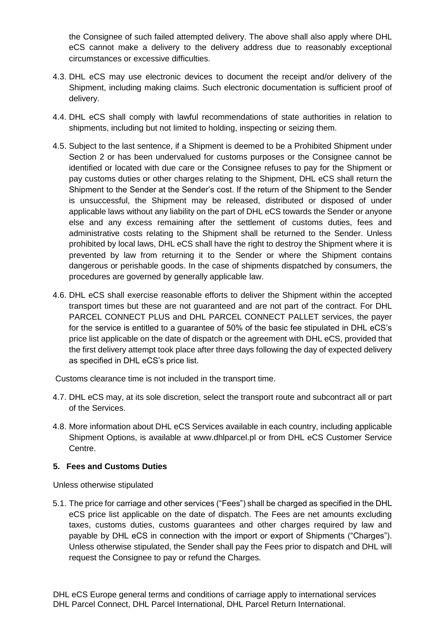the Consignee of such failed attempted delivery. The above shall also apply where DHL eCS cannot make a delivery to the delivery address due to reasonably exceptional circumstances or excessive difficulties.

- 4.3. DHL eCS may use electronic devices to document the receipt and/or delivery of the Shipment, including making claims. Such electronic documentation is sufficient proof of delivery.
- 4.4. DHL eCS shall comply with lawful recommendations of state authorities in relation to shipments, including but not limited to holding, inspecting or seizing them.
- 4.5. Subject to the last sentence, if a Shipment is deemed to be a Prohibited Shipment under Section 2 or has been undervalued for customs purposes or the Consignee cannot be identified or located with due care or the Consignee refuses to pay for the Shipment or pay customs duties or other charges relating to the Shipment, DHL eCS shall return the Shipment to the Sender at the Sender's cost. If the return of the Shipment to the Sender is unsuccessful, the Shipment may be released, distributed or disposed of under applicable laws without any liability on the part of DHL eCS towards the Sender or anyone else and any excess remaining after the settlement of customs duties, fees and administrative costs relating to the Shipment shall be returned to the Sender. Unless prohibited by local laws, DHL eCS shall have the right to destroy the Shipment where it is prevented by law from returning it to the Sender or where the Shipment contains dangerous or perishable goods. In the case of shipments dispatched by consumers, the procedures are governed by generally applicable law.
- 4.6. DHL eCS shall exercise reasonable efforts to deliver the Shipment within the accepted transport times but these are not guaranteed and are not part of the contract. For DHL PARCEL CONNECT PLUS and DHL PARCEL CONNECT PALLET services, the payer for the service is entitled to a guarantee of 50% of the basic fee stipulated in DHL eCS's price list applicable on the date of dispatch or the agreement with DHL eCS, provided that the first delivery attempt took place after three days following the day of expected delivery as specified in DHL eCS's price list.

Customs clearance time is not included in the transport time.

- 4.7. DHL eCS may, at its sole discretion, select the transport route and subcontract all or part of the Services.
- 4.8. More information about DHL eCS Services available in each country, including applicable Shipment Options, is available at [www.dhlparcel.pl](http://www.dhlparcel.pl/) or from DHL eCS Customer Service Centre.

#### **5. Fees and Customs Duties**

Unless otherwise stipulated

5.1. The price for carriage and other services ("Fees") shall be charged as specified in the DHL eCS price list applicable on the date of dispatch. The Fees are net amounts excluding taxes, customs duties, customs guarantees and other charges required by law and payable by DHL eCS in connection with the import or export of Shipments ("Charges"). Unless otherwise stipulated, the Sender shall pay the Fees prior to dispatch and DHL will request the Consignee to pay or refund the Charges.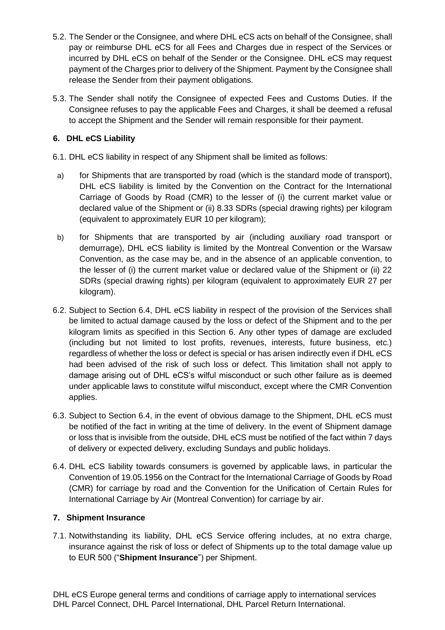- 5.2. The Sender or the Consignee, and where DHL eCS acts on behalf of the Consignee, shall pay or reimburse DHL eCS for all Fees and Charges due in respect of the Services or incurred by DHL eCS on behalf of the Sender or the Consignee. DHL eCS may request payment of the Charges prior to delivery of the Shipment. Payment by the Consignee shall release the Sender from their payment obligations.
- 5.3. The Sender shall notify the Consignee of expected Fees and Customs Duties. If the Consignee refuses to pay the applicable Fees and Charges, it shall be deemed a refusal to accept the Shipment and the Sender will remain responsible for their payment.

### **6. DHL eCS Liability**

- 6.1. DHL eCS liability in respect of any Shipment shall be limited as follows:
- a) for Shipments that are transported by road (which is the standard mode of transport), DHL eCS liability is limited by the Convention on the Contract for the International Carriage of Goods by Road (CMR) to the lesser of (i) the current market value or declared value of the Shipment or (ii) 8.33 SDRs (special drawing rights) per kilogram (equivalent to approximately EUR 10 per kilogram);
- b) for Shipments that are transported by air (including auxiliary road transport or demurrage), DHL eCS liability is limited by the Montreal Convention or the Warsaw Convention, as the case may be, and in the absence of an applicable convention, to the lesser of (i) the current market value or declared value of the Shipment or (ii) 22 SDRs (special drawing rights) per kilogram (equivalent to approximately EUR 27 per kilogram).
- 6.2. Subject to Section 6.4, DHL eCS liability in respect of the provision of the Services shall be limited to actual damage caused by the loss or defect of the Shipment and to the per kilogram limits as specified in this Section 6. Any other types of damage are excluded (including but not limited to lost profits, revenues, interests, future business, etc.) regardless of whether the loss or defect is special or has arisen indirectly even if DHL eCS had been advised of the risk of such loss or defect. This limitation shall not apply to damage arising out of DHL eCS's wilful misconduct or such other failure as is deemed under applicable laws to constitute wilful misconduct, except where the CMR Convention applies.
- 6.3. Subject to Section 6.4, in the event of obvious damage to the Shipment, DHL eCS must be notified of the fact in writing at the time of delivery. In the event of Shipment damage or loss that is invisible from the outside, DHL eCS must be notified of the fact within 7 days of delivery or expected delivery, excluding Sundays and public holidays.
- 6.4. DHL eCS liability towards consumers is governed by applicable laws, in particular the Convention of 19.05.1956 on the Contract for the International Carriage of Goods by Road (CMR) for carriage by road and the Convention for the Unification of Certain Rules for International Carriage by Air (Montreal Convention) for carriage by air.

# **7. Shipment Insurance**

7.1. Notwithstanding its liability, DHL eCS Service offering includes, at no extra charge, insurance against the risk of loss or defect of Shipments up to the total damage value up to EUR 500 ("**Shipment Insurance**") per Shipment.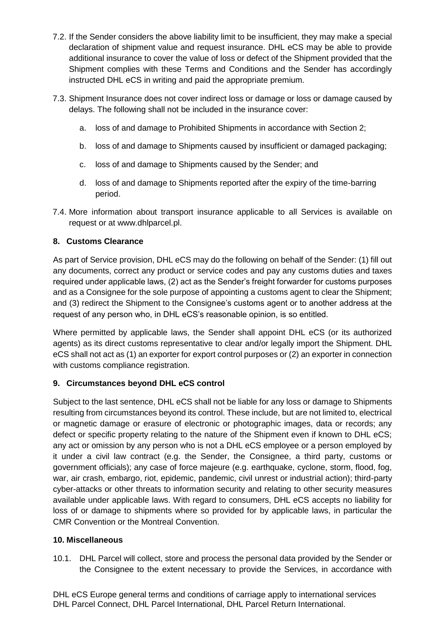- 7.2. If the Sender considers the above liability limit to be insufficient, they may make a special declaration of shipment value and request insurance. DHL eCS may be able to provide additional insurance to cover the value of loss or defect of the Shipment provided that the Shipment complies with these Terms and Conditions and the Sender has accordingly instructed DHL eCS in writing and paid the appropriate premium.
- 7.3. Shipment Insurance does not cover indirect loss or damage or loss or damage caused by delays. The following shall not be included in the insurance cover:
	- a. loss of and damage to Prohibited Shipments in accordance with Section 2;
	- b. loss of and damage to Shipments caused by insufficient or damaged packaging;
	- c. loss of and damage to Shipments caused by the Sender; and
	- d. loss of and damage to Shipments reported after the expiry of the time-barring period.
- 7.4. More information about transport insurance applicable to all Services is available on request or at [www.dhlparcel.pl.](http://www.dhlparcel.pl/)

# **8. Customs Clearance**

As part of Service provision, DHL eCS may do the following on behalf of the Sender: (1) fill out any documents, correct any product or service codes and pay any customs duties and taxes required under applicable laws, (2) act as the Sender's freight forwarder for customs purposes and as a Consignee for the sole purpose of appointing a customs agent to clear the Shipment; and (3) redirect the Shipment to the Consignee's customs agent or to another address at the request of any person who, in DHL eCS's reasonable opinion, is so entitled.

Where permitted by applicable laws, the Sender shall appoint DHL eCS (or its authorized agents) as its direct customs representative to clear and/or legally import the Shipment. DHL eCS shall not act as (1) an exporter for export control purposes or (2) an exporter in connection with customs compliance registration.

# **9. Circumstances beyond DHL eCS control**

Subject to the last sentence, DHL eCS shall not be liable for any loss or damage to Shipments resulting from circumstances beyond its control. These include, but are not limited to, electrical or magnetic damage or erasure of electronic or photographic images, data or records; any defect or specific property relating to the nature of the Shipment even if known to DHL eCS; any act or omission by any person who is not a DHL eCS employee or a person employed by it under a civil law contract (e.g. the Sender, the Consignee, a third party, customs or government officials); any case of force majeure (e.g. earthquake, cyclone, storm, flood, fog, war, air crash, embargo, riot, epidemic, pandemic, civil unrest or industrial action); third-party cyber-attacks or other threats to information security and relating to other security measures available under applicable laws. With regard to consumers, DHL eCS accepts no liability for loss of or damage to shipments where so provided for by applicable laws, in particular the CMR Convention or the Montreal Convention.

# **10. Miscellaneous**

10.1. DHL Parcel will collect, store and process the personal data provided by the Sender or the Consignee to the extent necessary to provide the Services, in accordance with

DHL eCS Europe general terms and conditions of carriage apply to international services DHL Parcel Connect, DHL Parcel International, DHL Parcel Return International.